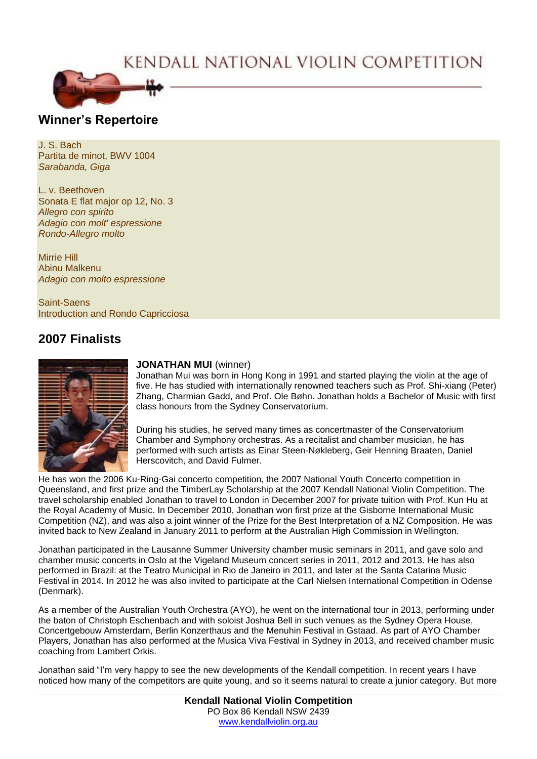# KENDALL NATIONAL VIOLIN COMPETITION



## **Winner's Repertoire**

J. S. Bach Partita de minot, BWV 1004 *Sarabanda, Giga*

L. v. Beethoven Sonata E flat major op 12, No. 3 *Allegro con spirito Adagio con molt' espressione Rondo-Allegro molto*

Mirrie Hill Abinu Malkenu *Adagio con molto espressione*

Saint-Saens Introduction and Rondo Capricciosa

# **2007 Finalists**



#### **JONATHAN MUI** (winner)

Jonathan Mui was born in Hong Kong in 1991 and started playing the violin at the age of five. He has studied with internationally renowned teachers such as Prof. Shi-xiang (Peter) Zhang, Charmian Gadd, and Prof. Ole Bøhn. Jonathan holds a Bachelor of Music with first class honours from the Sydney Conservatorium.

During his studies, he served many times as concertmaster of the Conservatorium Chamber and Symphony orchestras. As a recitalist and chamber musician, he has performed with such artists as Einar Steen-Nøkleberg, Geir Henning Braaten, Daniel Herscovitch, and David Fulmer.

He has won the 2006 Ku-Ring-Gai concerto competition, the 2007 National Youth Concerto competition in Queensland, and first prize and the TimberLay Scholarship at the 2007 Kendall National Violin Competition. The travel scholarship enabled Jonathan to travel to London in December 2007 for private tuition with Prof. Kun Hu at the Royal Academy of Music. In December 2010, Jonathan won first prize at the Gisborne International Music Competition (NZ), and was also a joint winner of the Prize for the Best Interpretation of a NZ Composition. He was invited back to New Zealand in January 2011 to perform at the Australian High Commission in Wellington.

Jonathan participated in the Lausanne Summer University chamber music seminars in 2011, and gave solo and chamber music concerts in Oslo at the Vigeland Museum concert series in 2011, 2012 and 2013. He has also performed in Brazil: at the Teatro Municipal in Rio de Janeiro in 2011, and later at the Santa Catarina Music Festival in 2014. In 2012 he was also invited to participate at the Carl Nielsen International Competition in Odense (Denmark).

As a member of the Australian Youth Orchestra (AYO), he went on the international tour in 2013, performing under the baton of Christoph Eschenbach and with soloist Joshua Bell in such venues as the Sydney Opera House, Concertgebouw Amsterdam, Berlin Konzerthaus and the Menuhin Festival in Gstaad. As part of AYO Chamber Players, Jonathan has also performed at the Musica Viva Festival in Sydney in 2013, and received chamber music coaching from Lambert Orkis.

Jonathan said "I'm very happy to see the new developments of the Kendall competition. In recent years I have noticed how many of the competitors are quite young, and so it seems natural to create a junior category. But more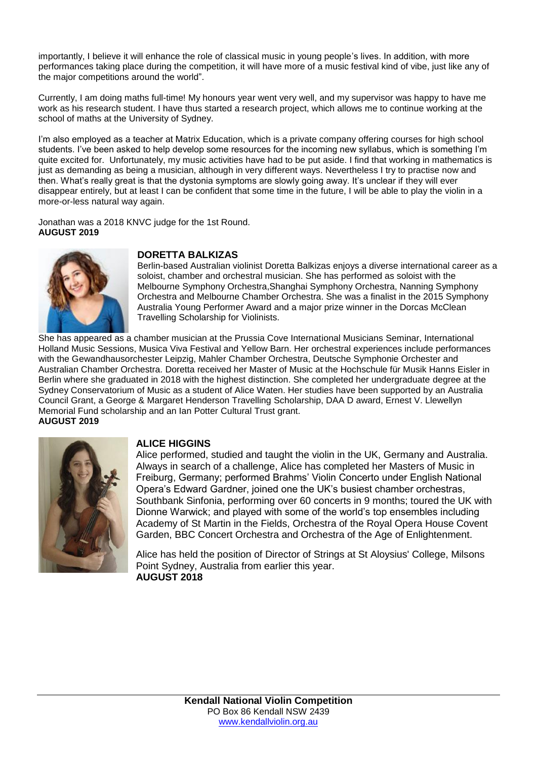importantly, I believe it will enhance the role of classical music in young people's lives. In addition, with more performances taking place during the competition, it will have more of a music festival kind of vibe, just like any of the major competitions around the world".

Currently, I am doing maths full-time! My honours year went very well, and my supervisor was happy to have me work as his research student. I have thus started a research project, which allows me to continue working at the school of maths at the University of Sydney.

I'm also employed as a teacher at Matrix Education, which is a private company offering courses for high school students. I've been asked to help develop some resources for the incoming new syllabus, which is something I'm quite excited for. Unfortunately, my music activities have had to be put aside. I find that working in mathematics is just as demanding as being a musician, although in very different ways. Nevertheless I try to practise now and then. What's really great is that the dystonia symptoms are slowly going away. It's unclear if they will ever disappear entirely, but at least I can be confident that some time in the future, I will be able to play the violin in a more-or-less natural way again.

Jonathan was a 2018 KNVC judge for the 1st Round. **AUGUST 2019**



### **DORETTA BALKIZAS**

Berlin-based Australian violinist Doretta Balkizas enjoys a diverse international career as a soloist, chamber and orchestral musician. She has performed as soloist with the Melbourne Symphony Orchestra,Shanghai Symphony Orchestra, Nanning Symphony Orchestra and Melbourne Chamber Orchestra. She was a finalist in the 2015 Symphony Australia Young Performer Award and a major prize winner in the Dorcas McClean Travelling Scholarship for Violinists.

She has appeared as a chamber musician at the Prussia Cove International Musicians Seminar, International Holland Music Sessions, Musica Viva Festival and Yellow Barn. Her orchestral experiences include performances with the Gewandhausorchester Leipzig, Mahler Chamber Orchestra, Deutsche Symphonie Orchester and Australian Chamber Orchestra. Doretta received her Master of Music at the Hochschule für Musik Hanns Eisler in Berlin where she graduated in 2018 with the highest distinction. She completed her undergraduate degree at the Sydney Conservatorium of Music as a student of Alice Waten. Her studies have been supported by an Australia Council Grant, a George & Margaret Henderson Travelling Scholarship, DAA D award, Ernest V. Llewellyn Memorial Fund scholarship and an Ian Potter Cultural Trust grant. **AUGUST 2019**



### **ALICE HIGGINS**

Alice performed, studied and taught the violin in the UK, Germany and Australia. Always in search of a challenge, Alice has completed her Masters of Music in Freiburg, Germany; performed Brahms' Violin Concerto under English National Opera's Edward Gardner, joined one the UK's busiest chamber orchestras, Southbank Sinfonia, performing over 60 concerts in 9 months; toured the UK with Dionne Warwick; and played with some of the world's top ensembles including Academy of St Martin in the Fields, Orchestra of the Royal Opera House Covent Garden, BBC Concert Orchestra and Orchestra of the Age of Enlightenment.

Alice has held the position of Director of Strings at St Aloysius' College, Milsons Point Sydney, Australia from earlier this year. **AUGUST 2018**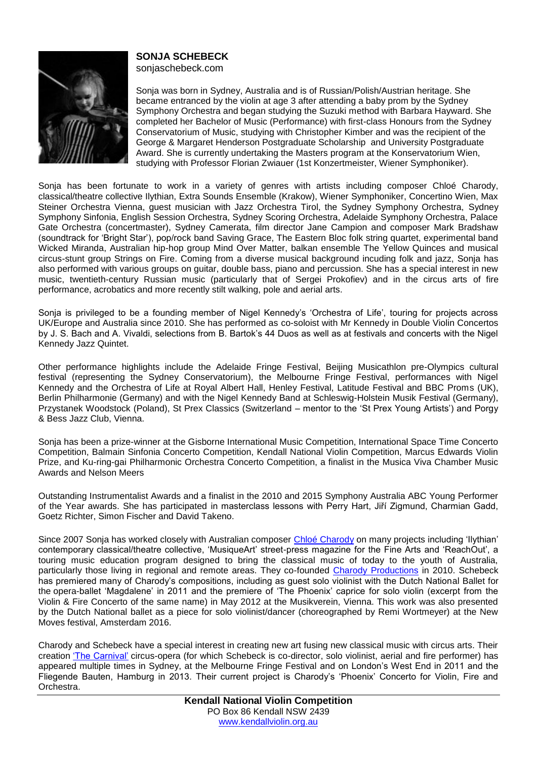

# **SONJA SCHEBECK**

sonjaschebeck.com

Sonja was born in Sydney, Australia and is of Russian/Polish/Austrian heritage. She became entranced by the violin at age 3 after attending a baby prom by the Sydney Symphony Orchestra and began studying the Suzuki method with Barbara Hayward. She completed her Bachelor of Music (Performance) with first-class Honours from the Sydney Conservatorium of Music, studying with Christopher Kimber and was the recipient of the George & Margaret Henderson Postgraduate Scholarship and University Postgraduate Award. She is currently undertaking the Masters program at the Konservatorium Wien, studying with Professor Florian Zwiauer (1st Konzertmeister, Wiener Symphoniker).

Sonja has been fortunate to work in a variety of genres with artists including composer Chloé Charody, classical/theatre collective Ilythian, Extra Sounds Ensemble (Krakow), Wiener Symphoniker, Concertino Wien, Max Steiner Orchestra Vienna, guest musician with Jazz Orchestra Tirol, the Sydney Symphony Orchestra, Sydney Symphony Sinfonia, English Session Orchestra, Sydney Scoring Orchestra, Adelaide Symphony Orchestra, Palace Gate Orchestra (concertmaster), Sydney Camerata, film director Jane Campion and composer Mark Bradshaw (soundtrack for 'Bright Star'), pop/rock band Saving Grace, The Eastern Bloc folk string quartet, experimental band Wicked Miranda, Australian hip-hop group Mind Over Matter, balkan ensemble The Yellow Quinces and musical circus-stunt group Strings on Fire. Coming from a diverse musical background incuding folk and jazz, Sonja has also performed with various groups on guitar, double bass, piano and percussion. She has a special interest in new music, twentieth-century Russian music (particularly that of Sergei Prokofiev) and in the circus arts of fire performance, acrobatics and more recently stilt walking, pole and aerial arts.

Sonja is privileged to be a founding member of Nigel Kennedy's 'Orchestra of Life', touring for projects across UK/Europe and Australia since 2010. She has performed as co-soloist with Mr Kennedy in Double Violin Concertos by J. S. Bach and A. Vivaldi, selections from B. Bartok's 44 Duos as well as at festivals and concerts with the Nigel Kennedy Jazz Quintet.

Other performance highlights include the Adelaide Fringe Festival, Beijing Musicathlon pre-Olympics cultural festival (representing the Sydney Conservatorium), the Melbourne Fringe Festival, performances with Nigel Kennedy and the Orchestra of Life at Royal Albert Hall, Henley Festival, Latitude Festival and BBC Proms (UK), Berlin Philharmonie (Germany) and with the Nigel Kennedy Band at Schleswig-Holstein Musik Festival (Germany), Przystanek Woodstock (Poland), St Prex Classics (Switzerland – mentor to the 'St Prex Young Artists') and Porgy & Bess Jazz Club, Vienna.

Sonja has been a prize-winner at the Gisborne International Music Competition, International Space Time Concerto Competition, Balmain Sinfonia Concerto Competition, Kendall National Violin Competition, Marcus Edwards Violin Prize, and Ku-ring-gai Philharmonic Orchestra Concerto Competition, a finalist in the Musica Viva Chamber Music Awards and Nelson Meers

Outstanding Instrumentalist Awards and a finalist in the 2010 and 2015 Symphony Australia ABC Young Performer of the Year awards. She has participated in masterclass lessons with Perry Hart, Jiří Zigmund, Charmian Gadd, Goetz Richter, Simon Fischer and David Takeno.

Since 2007 Sonja has worked closely with Australian composer Chloé [Charody](http://composerchloecharody.com/) on many projects including 'Ilythian' contemporary classical/theatre collective, 'MusiqueArt' street-press magazine for the Fine Arts and 'ReachOut', a touring music education program designed to bring the classical music of today to the youth of Australia, particularly those living in regional and remote areas. They co-founded Charody [Productions](http://charodyproductions.com/) in 2010. Schebeck has premiered many of Charody's compositions, including as guest solo violinist with the Dutch National Ballet for the opera-ballet 'Magdalene' in 2011 and the premiere of 'The Phoenix' caprice for solo violin (excerpt from the Violin & Fire Concerto of the same name) in May 2012 at the Musikverein, Vienna. This work was also presented by the Dutch National ballet as a piece for solo violinist/dancer (choreographed by Remi Wortmeyer) at the New Moves festival, Amsterdam 2016.

Charody and Schebeck have a special interest in creating new art fusing new classical music with circus arts. Their creation 'The [Carnival'](http://charodyproductions.com/our-creations/thecarnival/) circus-opera (for which Schebeck is co-director, solo violinist, aerial and fire performer) has appeared multiple times in Sydney, at the Melbourne Fringe Festival and on London's West End in 2011 and the Fliegende Bauten, Hamburg in 2013. Their current project is Charody's 'Phoenix' Concerto for Violin, Fire and Orchestra.